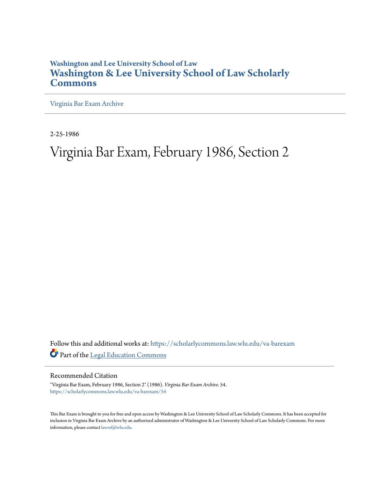## **Washington and Lee University School of Law [Washington & Lee University School of Law Scholarly](https://scholarlycommons.law.wlu.edu?utm_source=scholarlycommons.law.wlu.edu%2Fva-barexam%2F54&utm_medium=PDF&utm_campaign=PDFCoverPages) [Commons](https://scholarlycommons.law.wlu.edu?utm_source=scholarlycommons.law.wlu.edu%2Fva-barexam%2F54&utm_medium=PDF&utm_campaign=PDFCoverPages)**

[Virginia Bar Exam Archive](https://scholarlycommons.law.wlu.edu/va-barexam?utm_source=scholarlycommons.law.wlu.edu%2Fva-barexam%2F54&utm_medium=PDF&utm_campaign=PDFCoverPages)

2-25-1986

# Virginia Bar Exam, February 1986, Section 2

Follow this and additional works at: [https://scholarlycommons.law.wlu.edu/va-barexam](https://scholarlycommons.law.wlu.edu/va-barexam?utm_source=scholarlycommons.law.wlu.edu%2Fva-barexam%2F54&utm_medium=PDF&utm_campaign=PDFCoverPages) Part of the [Legal Education Commons](http://network.bepress.com/hgg/discipline/857?utm_source=scholarlycommons.law.wlu.edu%2Fva-barexam%2F54&utm_medium=PDF&utm_campaign=PDFCoverPages)

Recommended Citation

"Virginia Bar Exam, February 1986, Section 2" (1986). *Virginia Bar Exam Archive*. 54. [https://scholarlycommons.law.wlu.edu/va-barexam/54](https://scholarlycommons.law.wlu.edu/va-barexam/54?utm_source=scholarlycommons.law.wlu.edu%2Fva-barexam%2F54&utm_medium=PDF&utm_campaign=PDFCoverPages)

This Bar Exam is brought to you for free and open access by Washington & Lee University School of Law Scholarly Commons. It has been accepted for inclusion in Virginia Bar Exam Archive by an authorized administrator of Washington & Lee University School of Law Scholarly Commons. For more information, please contact [lawref@wlu.edu](mailto:lawref@wlu.edu).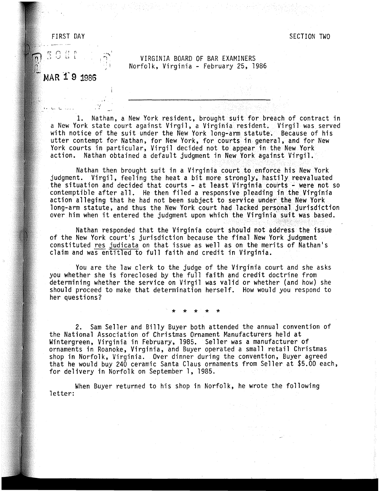#### FIRST DAY

 $E^{\text{c}}$  of  $E^{\text{c}}$ 

المحمد المتاسي

VIRGINIA BOARD OF BAR EXAMINERS Norfolk, Virginia - February 25, 1986

# MAR 19 1986

\. '-·· '~ ·-,·' - '·/

1. Nathan, a New York resident, brought suit for breach of contract in a New York state court against Virgil, a Virginia resident. Virgil was served with notice of the suit under the New York long-arm statute. Because of his utter contempt for Nathan, for New York, for courts in general, and for New York courts in particular, Virgil decided not to appear in the New York action. Nathan obtained a default judgment in New York against Virgil.

Nathan then brought suit in a Virginia court to enforce his New York judgment. Virgil, feeling the heat a bit more strongly, hastily reevaluated the situation and decided that courts - at least Virginia courts - were not so contemptible after all. He then filed a responsive pleading in the Virginia action alleging that he had not been subject to service under the New York long-arm statute, and thus the New York court had lacked personal jurisdiction over him when it entered the judgment upon which the Virginia· suit was based.

Nathan responded that the Virginia court should not address the issue of the New York court's jurisdiction because the final New York judgment constituted res judicata on that issue as well as on the merits of Nathan's claim and was entitled to full faith and credit in Virginia.

You are the law clerk to the judge of the Virginia court and she asks you whether she is foreclosed *by* the full faith and credit doctrine from determining whether the service on Virgil was valid or whether (and how) she should proceed to make that determination herself. How would you respond to her questions?

\* \* \* \* \*

2. Sam Seller and Billy Buyer both attended the annual convention of the National Association of Christmas Ornament Manufacturers held at Wintergreen, Virginia in February, 1985. Seller was a manufacturer of ornaments in Roanoke, Virginia, and Buyer operated a small retail Christmas shop in Norfolk, Virginia. Over dinner during the convention, Buyer agreed that he would buy 240 ceramic Santa Claus ornaments from Seller at \$5.00 each, for delivery in Norfolk on September 1, 1985.

When Buyer returned to his shop in Norfolk, he wrote the following letter: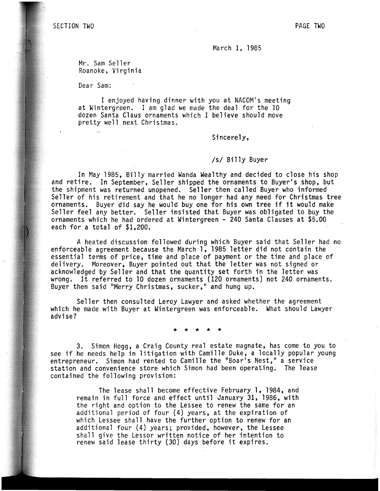March 1, 1985

Mr. Sam Seller Roanoke, Virginia

Dear Sam:

I enjoyed having dinner with you at NACOM's meeting at Wintergreen. I am glad we made the deal for the 10 dozen Santa Claus ornaments which I believe should move pretty well next Christmas.

Sincerely,

#### /s/ Billy Buyer

In May 1985, Billy married Wanda Wealthy and decided to close his shop and retire. In September, Seller shipped the ornaments to Buyer's shop, but the shipment was returned unopened. Seller then called Buyer who informed Seller of his retirement and that he no longer had any need for Christmas tree ornaments. Buyer did say he would buy one for his own tree if it would make Seller feel any better. Seller insisted that Buyer was obligated to buy the ornaments which he had ordered at Wintergreen - 240 Santa Clauses at \$5.00 each for a total of \$1,200.

A heated discussion followed during which Buyer said that Seller had no enforceable agreement because the March  $1, 1985$  letter did not contain the essential terms of price, time and place of payment or the time and place of delivery. Moreover, Buyer pointed out that the letter was not signed or acknowledged by Seller and that the quantity set forth in the letter was wrong. It referred to 10 dozen ornaments (120 ornaments) not 240 ornaments. Buyer then said "Merry Christmas, sucker," and hung up.

Seller then consulted Leroy Lawyer and asked whether the agreement which he made with Buyer at Wintergreen was enforceable. What should Lawyer advise?

\* \* \* \* \*

3. Simon Hogg, a Craig County real estate magnate, has come to you to see if he needs help in litigation with Camille Duke, a locally popular young entrepreneur. Simon had rented to Camille the "Boar's Nest," a service station and convenience store which Simon had been operating. The lease contained the following provision:

The lease shall become effective February l, 1984, and remain in full force and effect until January 31, 1986, with the right and option to the Lessee to renew the same for an additional period of four (4) years, at the expiration of which Lessee shall have the further option to renew for an additional four (4) years; provided, however, the Lessee shall give the Lessor written notice of her intention to renew said lease thirty (30) days before it expires.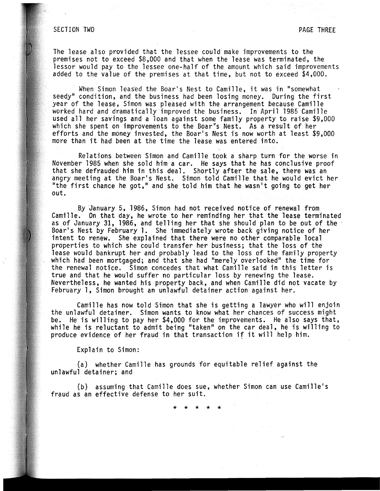### SECTION TWO PAGE THREE

The lease also provided that the lessee could make improvements to the premises not to exceed \$8,000 and that when the lease was terminated, the lessor would pay to the lessee one-half of the amount which said improvements added to the value of the premises at that time, but not to exceed \$4,000.

When Simon leased the Boar's Nest to Camille, it was in "somewhat seedy" condition, and the business had been losing money. During the first year of the lease, Simon was pleased with the arrangement because Camille worked hard and dramatically improved the business. In April 1985 Camille used all her savings and a loan against some family property to raise \$9,000 which she spent on improvements to the Boar's Nest. As a result of her efforts and the money invested, the Boar's Nest is now worth at least \$9,000 more than it had been at the time the lease was entered into.

Relations between Simon and Camille took a sharp turn for the worse in November 1985 when she sold him a car. He says that he has conclusive proof that she defrauded him in this deal. Shortly after the sale, there was an angry meeting at the Boar's Nest. Simon told Camille that he would evict her "the first chance he got," and she told him that he wasn't going to get her out.

By ·January 5, 1986, Simon had not received notice of renewal from Camille. On that day, he wrote to her reminding her that the lease terminated as of January 31, 1986, and telling her that she should plan to be out of the Boar's Nest by February 1. She immediately wrote back giving notice of her intent to renew. She explained that there were no other comparable local properties to which she could transfer her business; that the loss of the lease would bankrupt her and probably lead to the loss of the family property which had been mortgaged; and that she had "merely overlooked'' the time for the renewal notice. Simon concedes that what Camille said in this letter is true and that he would suffer no particular loss by renewing the lease. Nevertheless, he wanted his property back, and when Camille did not vacate by February l, Simon brought an unlawful detainer action against her.

Camille has now told Simon that she is getting a lawyer who will enjoin the unlawful detainer. Simon wants to know what her chances of success might be. He is willing to pay her \$4,000 for the improvements. He also says that, while he is reluctant to admit being "taken" on the car deal, he is willing to produce evidence of her fraud in that transaction if it will help him.

Explain to Simon:

(a) whether Camille has grounds for equitable relief against the unlawful detainer; and

(b) assuming that Camille does sue, whether Simon can use Camille's fraud as an effective defense to her suit.

\* \* \* \* \*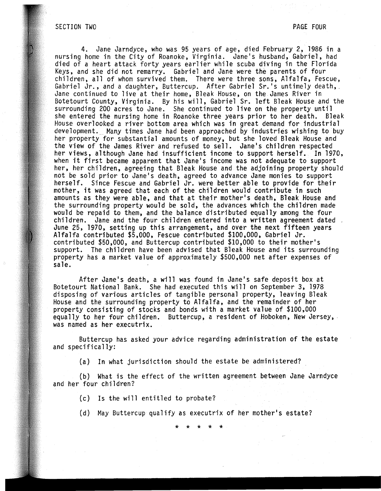#### SECTION TWO **PAGE FOUR**

4. Jane Jarndyce, who was 95 years of age, died February 2, 1986 in a nursing home in the City of Roanoke, Virginia. Jane's husband, Gabriel, had died of a heart attack forty years earlier while scuba diving in the Florida Keys, and she did not remarry. Gabriel and Jane were the parents of four children, all of whom survived them. There were three sons, Alfalfa, Fescue, Gabriel Jr., and a daughter, Buttercup. After Gabriel Sr.'s untimely death,. Jane continued to live at their home, Bleak House, on the James River in Botetourt County, Virginia. By his will, Gabriel Sr. left Bleak House and the surrounding 200 acres to Jane. She continued to live on the property until she entered the nursing home in Roanoke three years prior to her death. Bleak House overlooked a river bottom area which was in great demand for industrial development. Many times Jane had been approached by industries wishing to buy her property for substantial amounts of money, but she loved Bleak House and the view of the James River and refused to sell. Jane's children respected her views, although Jane had insufficient income to support herself. In 1970, when it first became apparent that Jane's income was not adequate to support her, her children, agreeing that Bleak House and the adjoining property should not be sold prior to Jane's death, agreed to advance Jane monies to support herself. Since Fescue and Gabriel Jr. were better able to provide for their mother, it was agreed that each of the children would contribute in such amounts as they were able, and that at their mother's death, Bleak House and the surrounding property would be sold, the advances which the children made would be repaid to them, and the balance distributed equally among the four children. Jane and the four children entered into a written agreement dated. June 25, 1970, setting up this arrangement, and over the next fifteen years Alfalfa contributed \$5,000, Fescue contributed \$100,000, Gabriel Jr. contributed \$50,000, and Buttercup contributed \$10,000 to their mother's support. The children have been advised that Bleak House and its surrounding property has a market value of approximately \$500,000 net after expenses of sale.

After Jane's death, a will was found in Jane's safe deposit box at Botetourt National Bank. She had executed this will on September 3, 1978 disposing of various articles of tangible personal property, leaving Bleak House and the surrounding property to Alfalfa, and the remainder of her property consisting of stocks and bonds with a market value of \$100,000 equally to her four children. Buttercup, a resident of Hoboken, New Jersey, was named as her executrix.

Buttercup has asked your advice regarding administration of the estate and specifically:

(a) In what jurisdiction should the estate be administered?

(b) What is the effect of the written agreement between Jane Jarndyce and her four children?

(c) Is the will entitled to probate?

(d) May Buttercup qualify as executrix of her mother's estate?

\* \* \* \* \*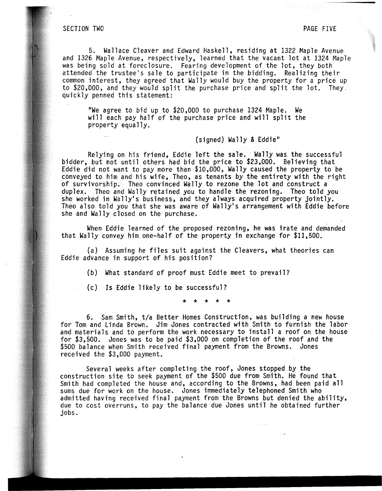#### SECTION TWO **PAGE FIVE**

5. Wallace Cleaver and Edward Haskell, residing at 1322 Maple Avenue and 1326 Maple Avenue, respectively, learned that the vacant lot at 1324 Maple was being sold at foreclosure. Fearing development of the lot, they both attended the trustee's sale to participate in the bidding. Realizing their common interest, they agreed that Wally would buy the property for a price up to \$20,000, and they would split the purchase price and split the lot. They.<br>quickly penned this statement:

"We agree to bid up to \$20,000 to purchase 1324 Maple. We will each pay half of the purchase price and will split the property equally.

## (signed) Wally & Eddie"

Relying on his friend, Eddie left the sale. Wally was the successful bidder, but not until others had bid the price to \$23,000. Believing that Eddie did not want to pay more than \$10,000, Wally caused the property to be conveyed to him and his wife, Theo, as tenants by the entirety with the right of survivorship $\Diamond$  Theo convinced Wally to rezone the lot and construct a<br>duplex. Theo and Wally retained you to handle the rezoning. Theo told you she worked in Wally's business, and they always acquired property jointly. Theo also told you that she was aware of Wally's arrangement with Eddie before she and Wally closed on the purchase.

When Eddie learned of the proposed rezoning, he was irate and demanded that Wally convey him one-half of the property in exchange for \$11,500.

(a) Assuming he files suit against the Cleavers, what theories can Eddie advance in support of his position?

(b) What standard of proof must Eddie meet to prevail?

(c) Is Eddie likely to be successful?

\* \* \* \* \*

6. Sam Smith, t/a Better Homes Construction, was building a new house for Tom and Linda Brown. Jim Jones contracted with Smith to furnish the labor and materials and to perform the work necessary to install a roof on the house for \$3,500. Jones was to be paid \$3,000 on completion of the roof and the \$500 balance when Smith received final payment from the Browns. Jones received the \$3,000 payment.

Several weeks after completing the roof, Jones stopped by the construction site to seek payment of the \$500 due from Smith. He found that Smith had completed the house and, according to the Browns, had been paid all sums due for work on the house. Jones immediately telephoned Smith who admitted having received final payment from the Browns but denied the ability, due to cost overruns, to pay the balance due Jones until he obtained further jobs.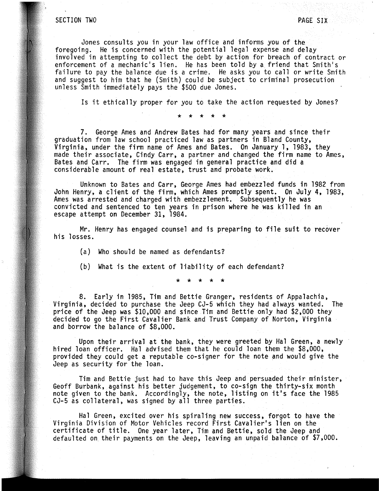SECTION TWO **PAGE SIX** 

Jones consults you in your law office and informs you of the foregoing. He is concerned with the potential legal expense and delay involved in attempting to collect the debt by action for breach of contract or enforcement of a mechanic's lien. He has been told by a friend that Smith's failure to pay the balance due is a crime. He asks you to call or write Smith and suggest to him that he (Smith) could be subject to criminal prosecution unless Smith immediately pays the \$500 due Jones.

Is it ethically proper for you to take the action requested by Jones?

\* \* \* \* \*

7. George Ames and Andrew Bates had for many years and since their graduation from law school practiced law as partners in Bland County, Virginia, under the firm name of Ames and Bates. On January 1, 1983, they made their associate, Cindy Carr, a partner and changed the firm name to Ames, Bates and Carr. The firm was engaged in general practice and did a considerable amount of real estate, trust and probate work.

Unknown to Bates and Carr, George Ames had embezzled funds in 1982 from John Henry, a client of the firm, which Ames promptly spent. On July 4, 1983, Ames was arrested and charged with embezzlement. Subsequently he was convicted and sentenced to ten years in prison where he was killed in an escape attempt on December 31, 1984.

Mr. Henry has engaged counsel and is preparing to file suit to recover his losses.

(a) Who should be named as defendants?

(b) What is the extent of liability of each defendant?

\* \* \* \* \*

8. Early in 1985, Tim and Bettie Granger, residents of Appalachia, Virginia, decided to purchase the Jeep CJ-5 which they had always wanted. The price of the Jeep was \$10,000 and since Tim and Bettie only had \$2,000 they decided to go the First Cavalier Bank and Trust Company of Norton, Virginia and borrow the balance of \$8,000.

Upon their arrival at the bank, they were greeted by Hal Green, a newly hired loan officer. Hal advised them that he could loan them the \$8,000, provided they could get a reputable co-signer for the note and would give the Jeep as security for the loan.

Tim and Bettie just had to have this Jeep and persuaded their minister, Geoff Burbank, against his better judgement, to co-sign the thirty-six month note given to the bank. Accordingly, the note, listing on it's face the 1985 CJ-5 as collateral, was signed by all three parties.

Hal Green, excited over his spiraling new success, forgot to have the Virginia Division of Motor Vehicles record First Cavalier's lien on the certificate of title. One year later, Tim and Bettie, sold the Jeep and defaulted on their payments on the Jeep, leaving an unpaid balance of \$7,000.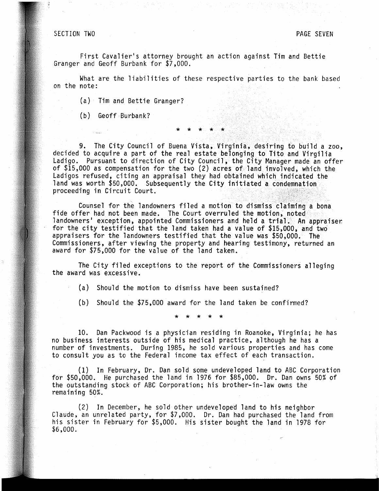#### SECTION TWO **PAGE SEVEN**

First Cavalier's attorney brought an action against Tim and Bettie Granger and Geoff Burbank for \$7,000.

What are the liabilities of these respective parties to the bank based on the note:

(a) Tim and Bettie Granger?

(b) Geoff Burbank?

9. The City Council of Buena Vista, Virginia, desiring to build a zoo, decided to acquire a part of the real estate belonging to Tito and Virgilia Ladigo. Pursuant to direction of City Council, the City Manager made an offer of \$15,000 as compensation for the two (2) acres of land involved, which the Ladigos refused, citing an appraisal they had obtained which indicated the land was worth \$50,000. Subsequently the City initiated a condemnation proceeding in Circuit Court.

\* \* \* \* \*

Counsel for the landowners filed a motion to dismiss claiming a bona fide offer had not been made. The Court overruled the motion, noted landowners' exception, appointed Commissioners and held a trial. An appraiser for the city testified that the land taken had a value of \$15,000, and two appraisers for the landowners testified that the value was \$50,000. The Commissioners, after viewing the property and hearing testimony, returned an award for \$75,000 for the value of the land taken.

The City filed exceptions to the report of the Commissioners alleging the award was excessive.

(a) Should the motion to dismiss have been sustained?

(b) Should the \$75,000 award for the land taken be confirmed?

\* \* \* \* \*

10. Dan Packwood is a physician residing in Roanoke, Virginia; he has no business interests outside of his medical practice, although he has a number of investments. During 1985, he sold various properties and has come to consult you as to the Federal income tax effect of each transaction.

(1) In February, Dr. Dan sold some undeveloped land to ABC Corporation for \$50,000. He purchased the land in 1976 for \$85,000. Dr. Dan owns 50% of the outstanding stock of ABC Corporation; his brother-in-law owns the remaining 50%.

(2) In December, he sold other undeveloped land to his neighbor Claude, an unrelated party, for \$7,000. Dr. Dan had purchased the land from his sister in February for \$5,000. His sister bought the land in 1978 for \$6,000.